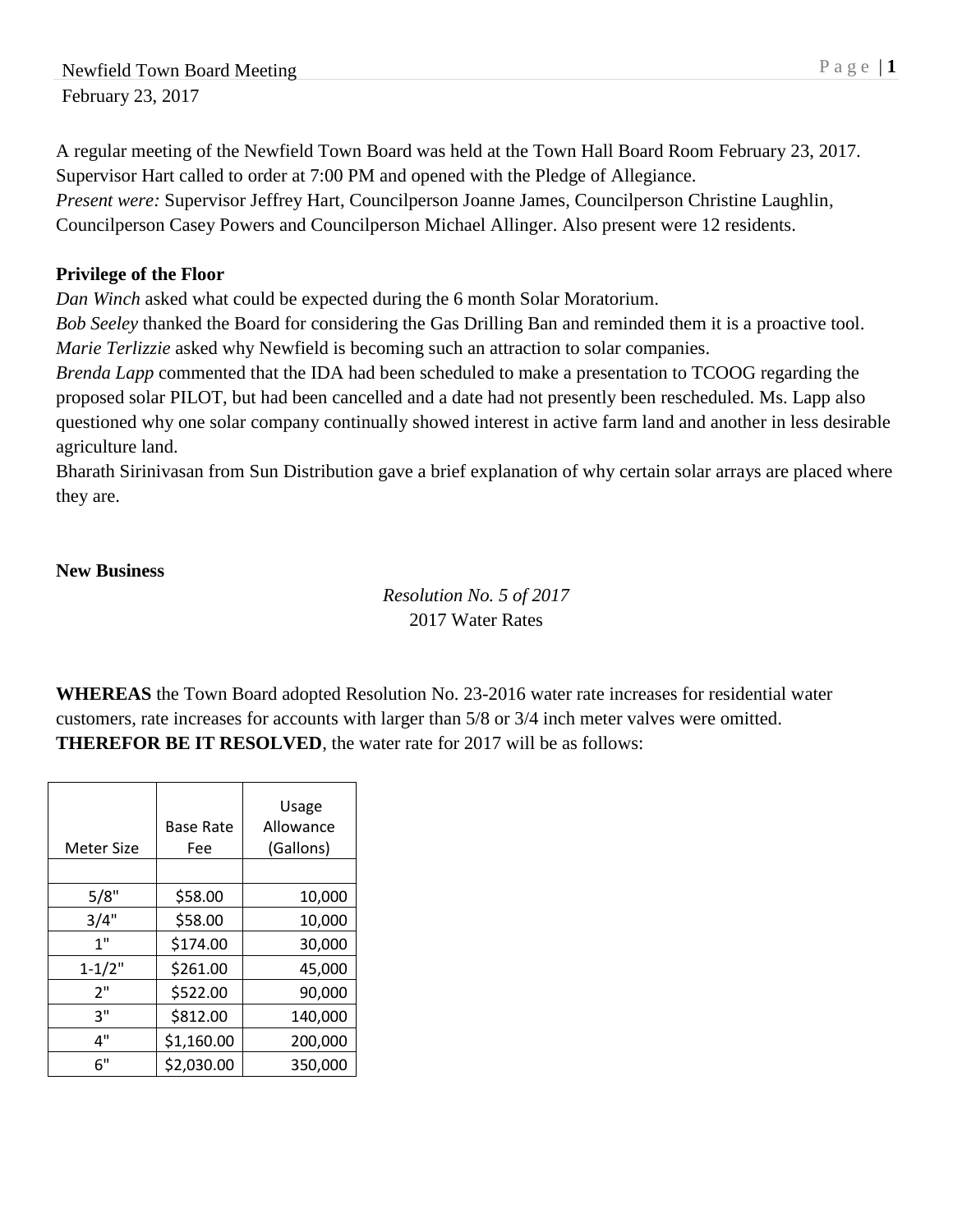A regular meeting of the Newfield Town Board was held at the Town Hall Board Room February 23, 2017. Supervisor Hart called to order at 7:00 PM and opened with the Pledge of Allegiance. *Present were:* Supervisor Jeffrey Hart, Councilperson Joanne James, Councilperson Christine Laughlin, Councilperson Casey Powers and Councilperson Michael Allinger. Also present were 12 residents.

#### **Privilege of the Floor**

*Dan Winch* asked what could be expected during the 6 month Solar Moratorium.

*Bob Seeley* thanked the Board for considering the Gas Drilling Ban and reminded them it is a proactive tool. *Marie Terlizzie* asked why Newfield is becoming such an attraction to solar companies.

*Brenda Lapp* commented that the IDA had been scheduled to make a presentation to TCOOG regarding the proposed solar PILOT, but had been cancelled and a date had not presently been rescheduled. Ms. Lapp also questioned why one solar company continually showed interest in active farm land and another in less desirable agriculture land.

Bharath Sirinivasan from Sun Distribution gave a brief explanation of why certain solar arrays are placed where they are.

#### **New Business**

*Resolution No. 5 of 2017* 2017 Water Rates

**WHEREAS** the Town Board adopted Resolution No. 23-2016 water rate increases for residential water customers, rate increases for accounts with larger than 5/8 or 3/4 inch meter valves were omitted. **THEREFOR BE IT RESOLVED**, the water rate for 2017 will be as follows:

| <b>Meter Size</b> | <b>Base Rate</b><br>Fee | Usage<br>Allowance<br>(Gallons) |
|-------------------|-------------------------|---------------------------------|
|                   |                         |                                 |
| 5/8"              | \$58.00                 | 10,000                          |
| 3/4"              | \$58.00                 | 10,000                          |
| 1"                | \$174.00                | 30,000                          |
| $1 - 1/2"$        | \$261.00                | 45,000                          |
| 2"                | \$522.00                | 90,000                          |
| 3"                | \$812.00                | 140,000                         |
| 4"                | \$1,160.00              | 200,000                         |
| 6"                | \$2,030.00              | 350,000                         |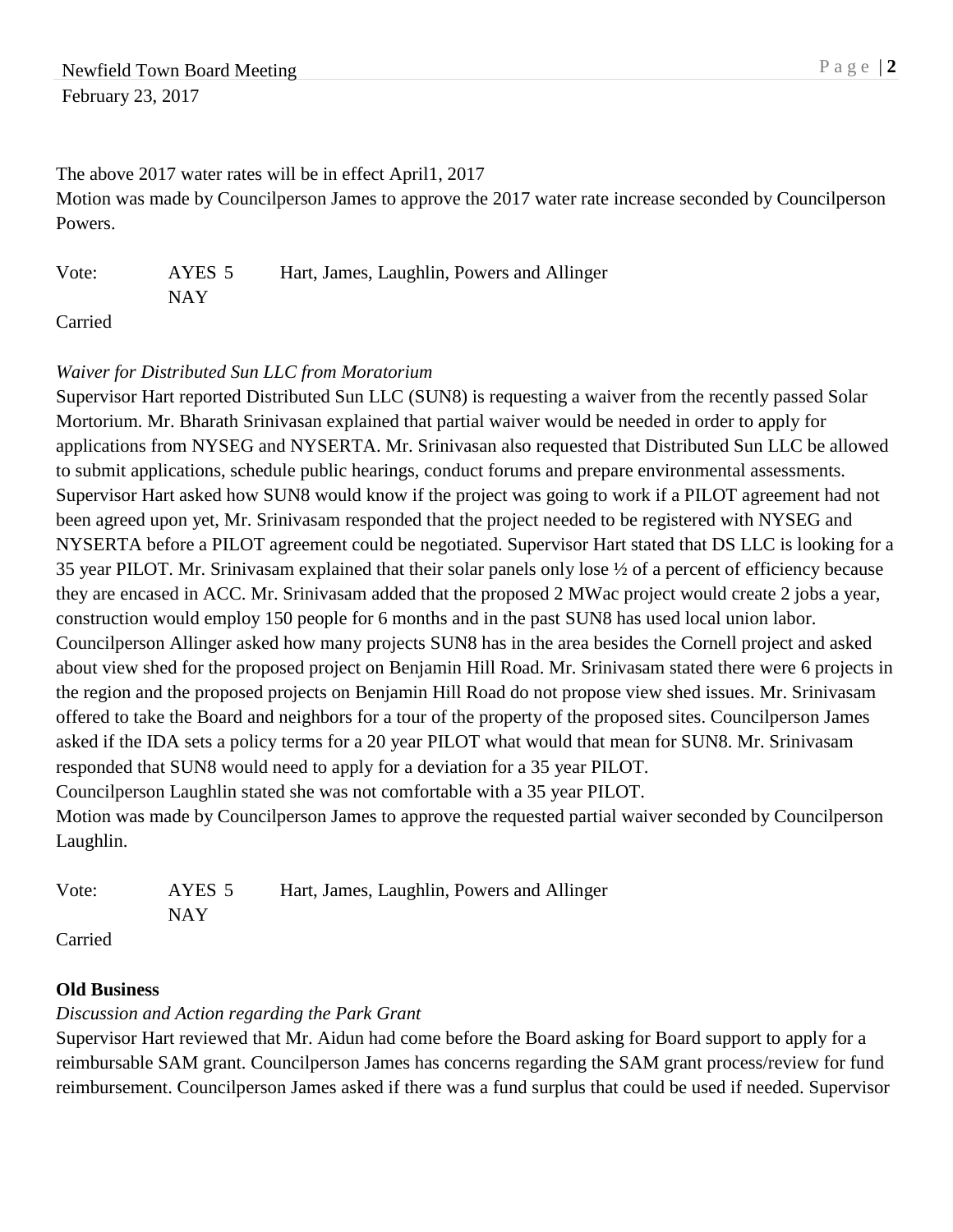The above 2017 water rates will be in effect April1, 2017

Motion was made by Councilperson James to approve the 2017 water rate increase seconded by Councilperson Powers.

Vote: AYES 5 Hart, James, Laughlin, Powers and Allinger NAY Carried

#### *Waiver for Distributed Sun LLC from Moratorium*

Supervisor Hart reported Distributed Sun LLC (SUN8) is requesting a waiver from the recently passed Solar Mortorium. Mr. Bharath Srinivasan explained that partial waiver would be needed in order to apply for applications from NYSEG and NYSERTA. Mr. Srinivasan also requested that Distributed Sun LLC be allowed to submit applications, schedule public hearings, conduct forums and prepare environmental assessments. Supervisor Hart asked how SUN8 would know if the project was going to work if a PILOT agreement had not been agreed upon yet, Mr. Srinivasam responded that the project needed to be registered with NYSEG and NYSERTA before a PILOT agreement could be negotiated. Supervisor Hart stated that DS LLC is looking for a 35 year PILOT. Mr. Srinivasam explained that their solar panels only lose ½ of a percent of efficiency because they are encased in ACC. Mr. Srinivasam added that the proposed 2 MWac project would create 2 jobs a year, construction would employ 150 people for 6 months and in the past SUN8 has used local union labor. Councilperson Allinger asked how many projects SUN8 has in the area besides the Cornell project and asked about view shed for the proposed project on Benjamin Hill Road. Mr. Srinivasam stated there were 6 projects in the region and the proposed projects on Benjamin Hill Road do not propose view shed issues. Mr. Srinivasam offered to take the Board and neighbors for a tour of the property of the proposed sites. Councilperson James asked if the IDA sets a policy terms for a 20 year PILOT what would that mean for SUN8. Mr. Srinivasam responded that SUN8 would need to apply for a deviation for a 35 year PILOT. Councilperson Laughlin stated she was not comfortable with a 35 year PILOT.

Motion was made by Councilperson James to approve the requested partial waiver seconded by Councilperson Laughlin.

| Vote: | AYES 5 | Hart, James, Laughlin, Powers and Allinger |
|-------|--------|--------------------------------------------|
|       | NAY.   |                                            |
|       |        |                                            |

Carried

## **Old Business**

## *Discussion and Action regarding the Park Grant*

Supervisor Hart reviewed that Mr. Aidun had come before the Board asking for Board support to apply for a reimbursable SAM grant. Councilperson James has concerns regarding the SAM grant process/review for fund reimbursement. Councilperson James asked if there was a fund surplus that could be used if needed. Supervisor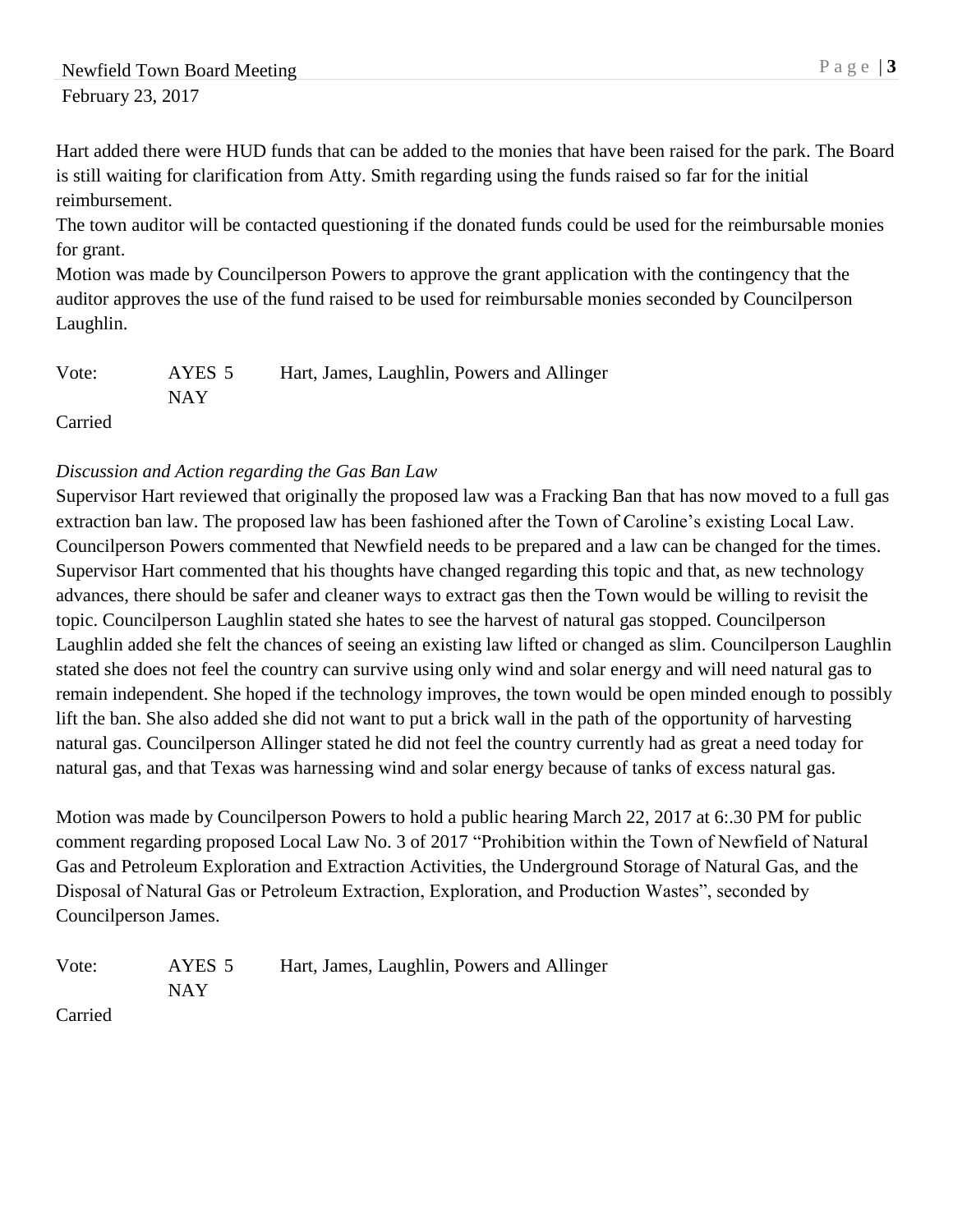Hart added there were HUD funds that can be added to the monies that have been raised for the park. The Board is still waiting for clarification from Atty. Smith regarding using the funds raised so far for the initial reimbursement.

The town auditor will be contacted questioning if the donated funds could be used for the reimbursable monies for grant.

Motion was made by Councilperson Powers to approve the grant application with the contingency that the auditor approves the use of the fund raised to be used for reimbursable monies seconded by Councilperson Laughlin.

| Vote: | AYES 5 | Hart, James, Laughlin, Powers and Allinger |
|-------|--------|--------------------------------------------|
|       | NAY    |                                            |

Carried

# *Discussion and Action regarding the Gas Ban Law*

Supervisor Hart reviewed that originally the proposed law was a Fracking Ban that has now moved to a full gas extraction ban law. The proposed law has been fashioned after the Town of Caroline's existing Local Law. Councilperson Powers commented that Newfield needs to be prepared and a law can be changed for the times. Supervisor Hart commented that his thoughts have changed regarding this topic and that, as new technology advances, there should be safer and cleaner ways to extract gas then the Town would be willing to revisit the topic. Councilperson Laughlin stated she hates to see the harvest of natural gas stopped. Councilperson Laughlin added she felt the chances of seeing an existing law lifted or changed as slim. Councilperson Laughlin stated she does not feel the country can survive using only wind and solar energy and will need natural gas to remain independent. She hoped if the technology improves, the town would be open minded enough to possibly lift the ban. She also added she did not want to put a brick wall in the path of the opportunity of harvesting natural gas. Councilperson Allinger stated he did not feel the country currently had as great a need today for natural gas, and that Texas was harnessing wind and solar energy because of tanks of excess natural gas.

Motion was made by Councilperson Powers to hold a public hearing March 22, 2017 at 6:.30 PM for public comment regarding proposed Local Law No. 3 of 2017 "Prohibition within the Town of Newfield of Natural Gas and Petroleum Exploration and Extraction Activities, the Underground Storage of Natural Gas, and the Disposal of Natural Gas or Petroleum Extraction, Exploration, and Production Wastes", seconded by Councilperson James.

| Vote: | AYES 5 | Hart, James, Laughlin, Powers and Allinger |
|-------|--------|--------------------------------------------|
|       | NAY    |                                            |

Carried